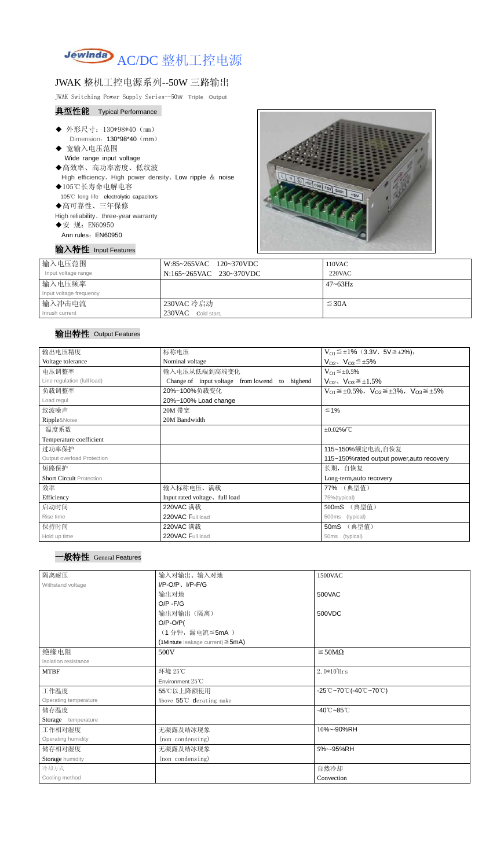

## JWAK 整机工控电源系列--50W 三路输出

JWAK Switching Power Supply Series--50**W Triple Output**

#### 典型性能 Typical Performance

- ◆ 外形尺寸: 130\*98\*40 (mm) Dimension: 130\*98\*40 (mm)
- ◆ 宽输入电压范围 Wide range input voltage
- ◆高效率、高功率密度、低纹波 High efficiency、High power density、Low ripple & noise
- ◆105℃长寿命电解电容 105℃ long life electrolytic capacitors
- ◆高可靠性、三年保修

High reliability、three-year warranty

- ◆安 规: EN60950
	- Ann rules: EN60950

输入特性 Input Features



| 输入电压范围                  | W:85~265VAC 120~370VDC  | 110VAC       |
|-------------------------|-------------------------|--------------|
| Input voltage range     | N:165~265VAC 230~370VDC | $220$ VAC    |
| 输入电压频率                  |                         | $47 - 63$ Hz |
| Input voltage frequency |                         |              |
| 输入冲击电流                  | 230VAC 冷启动              | $\leq$ 30A   |
| Inrush current          | 230VAC Cold start,      |              |

### 输出特性 Output Features

| 输出电压精度                          | 标称电压                                              | $V_{01} \leq \pm 1\%$ (3.3V, 5V $\leq \pm 2\%$ ),                       |  |
|---------------------------------|---------------------------------------------------|-------------------------------------------------------------------------|--|
| Voltage tolerance               | Nominal voltage                                   | $V_{O2}$ , $V_{O3} \leq \pm 5\%$                                        |  |
| 电压调整率                           | 输入电压从低端到高端变化                                      | $V_{O1} \leq \pm 0.5\%$                                                 |  |
| Line regulation (full load)     | Change of input voltage from lowend to<br>highend | $V_{O2}$ , $V_{O3} \leq \pm 1.5\%$                                      |  |
| 负载调整率                           | 20%~100%负载变化                                      | $V_{O1} \leq \pm 0.5\%$ , $V_{O2} \leq \pm 3\%$ , $V_{O3} \leq \pm 5\%$ |  |
| Load regul                      | 20%~100% Load change                              |                                                                         |  |
| 纹波噪声                            | 20M 带宽                                            | $\leq 1\%$                                                              |  |
| Ripple&Noise                    | 20M Bandwidth                                     |                                                                         |  |
| 温度系数                            |                                                   | $\pm 0.02\%$ /°C                                                        |  |
| Temperature coefficient         |                                                   |                                                                         |  |
| 过功率保护                           |                                                   | 115~150%额定电流,自恢复                                                        |  |
| Output overload Protection      |                                                   | 115~150% rated output power, auto recovery                              |  |
| 短路保护                            |                                                   | 长期, 自恢复                                                                 |  |
| <b>Short Circuit Protection</b> |                                                   | Long-term, auto recovery                                                |  |
| 效率                              | 输入标称电压、满载                                         | 77% (典型值)                                                               |  |
| Efficiency                      | Input rated voltage, full load                    | 75%(typical)                                                            |  |
| 启动时间                            | 220VAC 满载                                         | (典型值)<br>500mS                                                          |  |
| Rise time                       | 220VAC Full load                                  | (typical)<br>500ms                                                      |  |
| 保持时间                            | 220VAC 满载                                         | (典型值)<br>50mS                                                           |  |
| Hold up time                    | 220VAC Full load                                  | (typical)<br>50 <sub>ms</sub>                                           |  |

| 隔离耐压                        | 输入对输出、输入对地                                | 1500VAC                                                                               |  |
|-----------------------------|-------------------------------------------|---------------------------------------------------------------------------------------|--|
| Withstand voltage           | $I/P-O/P$ , $I/P-F/G$                     |                                                                                       |  |
|                             | 输出对地                                      | 500VAC                                                                                |  |
|                             | $O/P - F/G$                               |                                                                                       |  |
|                             | 输出对输出(隔离)                                 | 500VDC                                                                                |  |
|                             | $O/P-O/P($                                |                                                                                       |  |
|                             | (1分钟,漏电流≦5mA)                             |                                                                                       |  |
|                             | $(1$ Mintute leakage current) $\leq$ 5mA) |                                                                                       |  |
| 绝缘电阻                        | 500V                                      | $\geq$ 50M $\Omega$                                                                   |  |
| <b>Isolation resistance</b> |                                           |                                                                                       |  |
| <b>MTBF</b>                 | 环境 25℃                                    | $2.0*105$ Hrs                                                                         |  |
|                             | Environment 25°C                          |                                                                                       |  |
| 工作温度                        | 55℃以上降额使用                                 | $-25^{\circ}\text{C}-70^{\circ}\text{C}$ (-40 $^{\circ}\text{C}-70^{\circ}\text{C}$ ) |  |
| Operating temperature       | Above 55°C derating make                  |                                                                                       |  |
| 储存温度                        |                                           | $-40^{\circ}$ C $-85^{\circ}$ C                                                       |  |
| Storage temperature         |                                           |                                                                                       |  |
| 工作相对湿度                      | 无凝露及结冰现象                                  | 10%~-90%RH                                                                            |  |
| Operating humidity          | (non condensing)                          |                                                                                       |  |
| 储存相对湿度                      | 无凝露及结冰现象                                  | 5%~-95%RH                                                                             |  |
| Storage humidity            | (non condensing)                          |                                                                                       |  |
| 冷却方式                        |                                           | 自然冷却                                                                                  |  |
| Cooling method              |                                           | Convection                                                                            |  |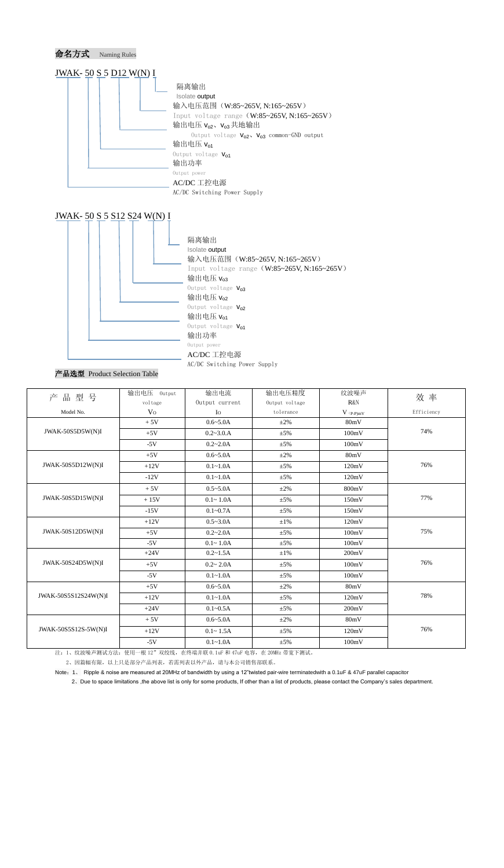





#### 产品选型 Product Selection Table

| 品型号<br>产             | 输出电压 Output    | 输出电流           | 输出电压精度         | 纹波噪声                                   | 效率         |
|----------------------|----------------|----------------|----------------|----------------------------------------|------------|
|                      | voltage        | Output current | Output voltage | R&N                                    |            |
| Model No.            | V <sub>O</sub> | $I_{\Omega}$   | tolerance      | $V$ $\mathrm{(}p\text{-}p\mathrm{)}mV$ | Efficiency |
| JWAK-50S5D5W(N)I     | $+5V$          | $0.6 - 5.0A$   | $\pm 2\%$      | 80mV                                   |            |
|                      | $+5V$          | $0.2 - 3.0.A$  | $\pm$ 5%       | 100mV                                  | 74%        |
|                      | $-5V$          | $0.2 - 2.0A$   | $\pm$ 5%       | 100mV                                  |            |
| JWAK-50S5D12W(N)I    | $+5V$          | $0.6 - 5.0A$   | $\pm 2\%$      | 80mV                                   | 76%        |
|                      | $+12V$         | $0.1 - 1.0A$   | $\pm$ 5%       | 120mV                                  |            |
|                      | $-12V$         | $0.1 - 1.0A$   | $\pm$ 5%       | 120mV                                  |            |
|                      | $+5V$          | $0.5 - 5.0A$   | $\pm 2\%$      | 800mV                                  |            |
| JWAK-50S5D15W(N)I    | $+15V$         | $0.1 - 1.0A$   | $\pm$ 5%       | 150mV                                  | 77%        |
|                      | $-15V$         | $0.1 - 0.7A$   | $\pm$ 5%       | 150mV                                  |            |
| JWAK-50S12D5W(N)I    | $+12V$         | $0.5 - 3.0A$   | $\pm 1\%$      | 120mV                                  |            |
|                      | $+5V$          | $0.2 - 2.0A$   | $\pm 5\%$      | 100mV                                  | 75%        |
|                      | $-5V$          | $0.1 - 1.0A$   | $\pm$ 5%       | 100mV                                  |            |
| JWAK-50S24D5W(N)I    | $+24V$         | $0.2 - 1.5A$   | $\pm 1\%$      | 200mV                                  |            |
|                      | $+5V$          | $0.2 - 2.0A$   | $\pm$ 5%       | 100mV                                  | 76%        |
|                      | $-5V$          | $0.1 - 1.0A$   | $\pm 5\%$      | 100mV                                  |            |
| JWAK-50S5S12S24W(N)I | $+5V$          | $0.6 - 5.0A$   | $\pm 2\%$      | 80mV                                   |            |
|                      | $+12V$         | $0.1 - 1.0A$   | $\pm$ 5%       | 120mV                                  | 78%        |
|                      | $+24V$         | $0.1 - 0.5A$   | $\pm 5\%$      | 200mV                                  |            |
| JWAK-50S5S12S-5W(N)I | $+5V$          | $0.6 - 5.0A$   | $\pm 2\%$      | 80mV                                   |            |
|                      | $+12V$         | $0.1 - 1.5A$   | $\pm$ 5%       | 120mV                                  | 76%        |
|                      | $-5V$          | $0.1 - 1.0A$   | $\pm 5\%$      | 100mV                                  |            |

注: 1、纹波噪声测试方法: 使用一根 12"双绞线, 在终端并联 0.1uF 和 47uF 电容, 在 20MHz 带宽下测试。

2、因篇幅有限,以上只是部分产品列表,若需列表以外产品,请与本公司销售部联系。

Note:1、 Ripple & noise are measured at 20MHz of bandwidth by using a 12"twisted pair-wire terminatedwith a 0.1uF & 47uF parallel capacitor

2、Due to space limitations ,the above list is only for some products, If other than a list of products, please contact the Company's sales department.